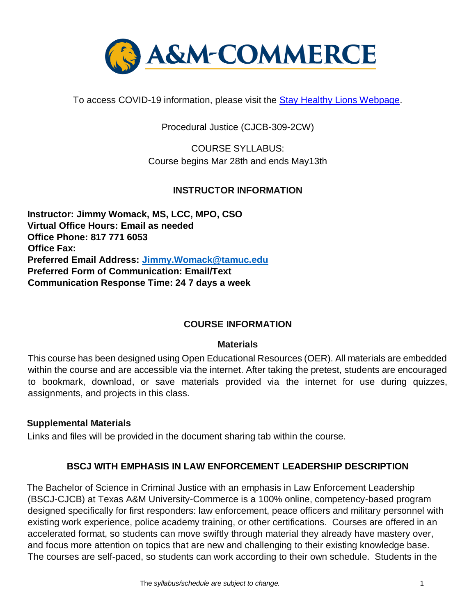

To access COVID-19 information, please visit the [Stay](https://new.tamuc.edu/coronavirus/) [Healthy Lions Webpage.](https://new.tamuc.edu/coronavirus/)

Procedural Justice (CJCB-309-2CW)

COURSE SYLLABUS: Course begins Mar 28th and ends May13th

### **INSTRUCTOR INFORMATION**

**Instructor: Jimmy Womack, MS, LCC, MPO, CSO Virtual Office Hours: Email as needed Office Phone: 817 771 6053 Office Fax: Preferred Email Address: Jimmy.Womack@tamuc.edu Preferred Form of Communication: Email/Text Communication Response Time: 24 7 days a week** 

### **COURSE INFORMATION**

#### **Materials**

This course has been designed using Open Educational Resources (OER). All materials are embedded within the course and are accessible via the internet. After taking the pretest, students are encouraged to bookmark, download, or save materials provided via the internet for use during quizzes, assignments, and projects in this class.

### **Supplemental Materials**

Links and files will be provided in the document sharing tab within the course.

### **BSCJ WITH EMPHASIS IN LAW ENFORCEMENT LEADERSHIP DESCRIPTION**

The Bachelor of Science in Criminal Justice with an emphasis in Law Enforcement Leadership (BSCJ-CJCB) at Texas A&M University-Commerce is a 100% online, competency-based program designed specifically for first responders: law enforcement, peace officers and military personnel with existing work experience, police academy training, or other certifications. Courses are offered in an accelerated format, so students can move swiftly through material they already have mastery over, and focus more attention on topics that are new and challenging to their existing knowledge base. The courses are self-paced, so students can work according to their own schedule. Students in the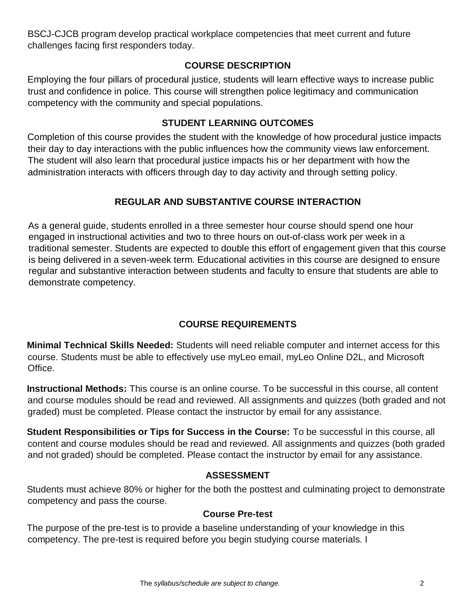BSCJ-CJCB program develop practical workplace competencies that meet current and future challenges facing first responders today.

## **[COURSE DESCRIPTION](http://catalog.tamuc.edu/undergrad/colleges-and-departments/college-of-innovation-design/baas-organizational-leadership/?_ga=2.81546143.928332977.1616426723-584154711.1595512675)**

Employing the four pillars of procedural justice, students will learn effective ways to increase public trust and confidence in police. This course will strengthen police legitimacy and communication competency with the community and special populations.

## **STUDENT LEARNING OUTCOMES**

Completion of this course provides the student with the knowledge of how procedural justice impacts their day to day interactions with the public influences how the community views law enforcement. The student will also learn that procedural justice impacts his or her department with how the administration interacts with officers through day to day activity and through setting policy.

# **REGULAR AND SUBSTANTIVE COURSE INTERACTION**

As a general guide, students enrolled in a three semester hour course should spend one hour engaged in instructional activities and two to three hours on out-of-class work per week in a traditional semester. Students are expected to double this effort of engagement given that this course is being delivered in a seven-week term. Educational activities in this course are designed to ensure regular and substantive interaction between students and faculty to ensure that students are able to demonstrate competency.

# **COURSE REQUIREMENTS**

**Minimal Technical Skills Needed:** Students will need reliable computer and internet access for this course. Students must be able to effectively use myLeo email, myLeo Online D2L, and Microsoft Office.

**Instructional Methods:** This course is an online course. To be successful in this course, all content and course modules should be read and reviewed. All assignments and quizzes (both graded and not graded) must be completed. Please contact the instructor by email for any assistance.

**Student Responsibilities or Tips for Success in the Course:** To be successful in this course, all content and course modules should be read and reviewed. All assignments and quizzes (both graded and not graded) should be completed. Please contact the instructor by email for any assistance.

### **ASSESSMENT**

Students must achieve 80% or higher for the both the posttest and culminating project to demonstrate competency and pass the course.

### **Course Pre-test**

The purpose of the pre-test is to provide a baseline understanding of your knowledge in this competency. The pre-test is required before you begin studying course materials. I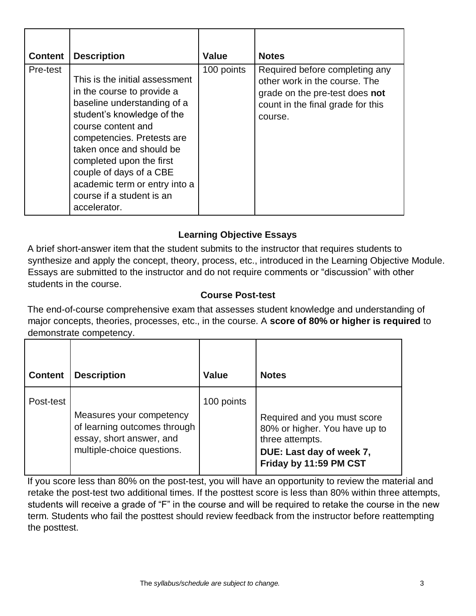| <b>Content</b> | <b>Description</b>                                                                                                                                                                                                                                                                                                                             | Value      | <b>Notes</b>                                                                                                                                      |
|----------------|------------------------------------------------------------------------------------------------------------------------------------------------------------------------------------------------------------------------------------------------------------------------------------------------------------------------------------------------|------------|---------------------------------------------------------------------------------------------------------------------------------------------------|
| Pre-test       | This is the initial assessment<br>in the course to provide a<br>baseline understanding of a<br>student's knowledge of the<br>course content and<br>competencies. Pretests are<br>taken once and should be<br>completed upon the first<br>couple of days of a CBE<br>academic term or entry into a<br>course if a student is an<br>accelerator. | 100 points | Required before completing any<br>other work in the course. The<br>grade on the pre-test does not<br>count in the final grade for this<br>course. |

# **Learning Objective Essays**

A brief short-answer item that the student submits to the instructor that requires students to synthesize and apply the concept, theory, process, etc., introduced in the Learning Objective Module. Essays are submitted to the instructor and do not require comments or "discussion" with other students in the course.

## **Course Post-test**

The end-of-course comprehensive exam that assesses student knowledge and understanding of major concepts, theories, processes, etc., in the course. A **score of 80% or higher is required** to demonstrate competency.

| <b>Content</b> | <b>Description</b>                                                                                                 | <b>Value</b> | <b>Notes</b>                                                                                                                          |
|----------------|--------------------------------------------------------------------------------------------------------------------|--------------|---------------------------------------------------------------------------------------------------------------------------------------|
| Post-test      | Measures your competency<br>of learning outcomes through<br>essay, short answer, and<br>multiple-choice questions. | 100 points   | Required and you must score<br>80% or higher. You have up to<br>three attempts.<br>DUE: Last day of week 7,<br>Friday by 11:59 PM CST |

If you score less than 80% on the post-test, you will have an opportunity to review the material and retake the post-test two additional times. If the posttest score is less than 80% within three attempts, students will receive a grade of "F" in the course and will be required to retake the course in the new term. Students who fail the posttest should review feedback from the instructor before reattempting the posttest.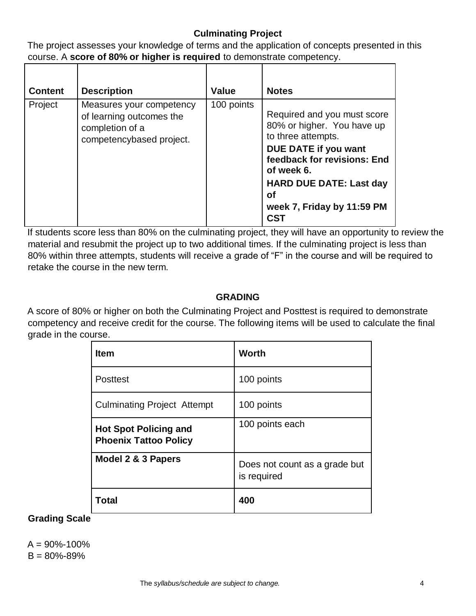# **Culminating Project**

The project assesses your knowledge of terms and the application of concepts presented in this course. A **score of 80% or higher is required** to demonstrate competency.

| <b>Content</b> | <b>Description</b>                                                                                  | Value      | <b>Notes</b>                                                                                                                                                                                                                                         |
|----------------|-----------------------------------------------------------------------------------------------------|------------|------------------------------------------------------------------------------------------------------------------------------------------------------------------------------------------------------------------------------------------------------|
| Project        | Measures your competency<br>of learning outcomes the<br>completion of a<br>competencybased project. | 100 points | Required and you must score<br>80% or higher. You have up<br>to three attempts.<br>DUE DATE if you want<br>feedback for revisions: End<br>of week 6.<br><b>HARD DUE DATE: Last day</b><br><b>of</b><br>week 7, Friday by 11:59 PM<br>CS <sub>1</sub> |

If students score less than 80% on the culminating project, they will have an opportunity to review the material and resubmit the project up to two additional times. If the culminating project is less than 80% within three attempts, students will receive a grade of "F" in the course and will be required to retake the course in the new term.

## **GRADING**

A score of 80% or higher on both the Culminating Project and Posttest is required to demonstrate competency and receive credit for the course. The following items will be used to calculate the final grade in the course.

| <b>Item</b>                                                  | <b>Worth</b>                                 |
|--------------------------------------------------------------|----------------------------------------------|
| <b>Posttest</b>                                              | 100 points                                   |
| <b>Culminating Project Attempt</b>                           | 100 points                                   |
| <b>Hot Spot Policing and</b><br><b>Phoenix Tattoo Policy</b> | 100 points each                              |
| Model 2 & 3 Papers                                           | Does not count as a grade but<br>is required |
| Total                                                        | 400                                          |

### **Grading Scale**

 $A = 90\% - 100\%$  $B = 80\% - 89\%$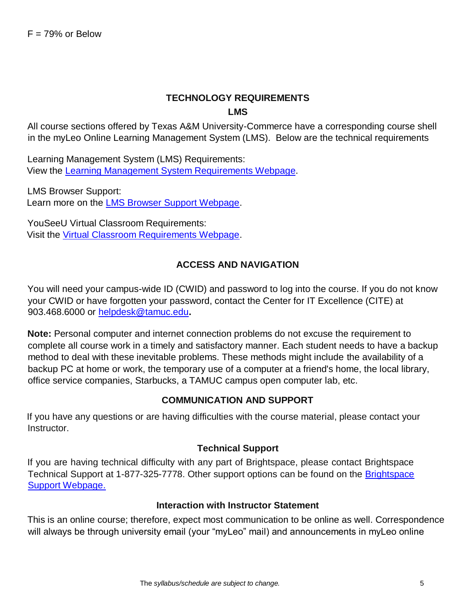# **TECHNOLOGY REQUIREMENTS LMS**

All course sections offered by Texas A&M University-Commerce have a corresponding course shell in the myLeo Online Learning Management System (LMS). Below are the technical requirements

Learning Management System (LMS) Requirements: View the [Learning Management System Requirements Webpage.](https://community.brightspace.com/s/article/Brightspace-Platform-Requirements)

LMS Browser Support: Learn more on the [LMS Browser Support Webpage.](https://documentation.brightspace.com/EN/brightspace/requirements/all/browser_support.htm)

YouSeeU Virtual Classroom Requirements: Visit the [Virtual Classroom Requirements Webpage.](https://support.youseeu.com/hc/en-us/articles/115007031107-Basic-System-Requirements)

## **ACCESS AND NAVIGATION**

You will need your campus-wide ID (CWID) and password to log into the course. If you do not know your CWID or have forgotten your password, contact the Center for IT Excellence (CITE) at 903.468.6000 or helpdesk@tamuc.edu**.**

**Note:** Personal computer and internet connection problems do not excuse the requirement to complete all course work in a timely and satisfactory manner. Each student needs to have a backup method to deal with these inevitable problems. These methods might include the availability of a backup PC at home or work, the temporary use of a computer at a friend's home, the local library, office service companies, Starbucks, a TAMUC campus open computer lab, etc.

### **COMMUNICATION AND SUPPORT**

If you have any questions or are having difficulties with the course material, please contact your Instructor.

### **Technical Support**

If you are having technical difficulty with any part of Brightspace, please contact Brightspace Technical Support at 1-877-325-7778. Other support options can be found on the [Brightspace](https://community.brightspace.com/support/s/contactsupport) [Support Webpage.](https://community.brightspace.com/support/s/contactsupport)

### **Interaction with Instructor Statement**

This is an online course; therefore, expect most communication to be online as well. Correspondence will always be through university email (your "myLeo" mail) and announcements in myLeo online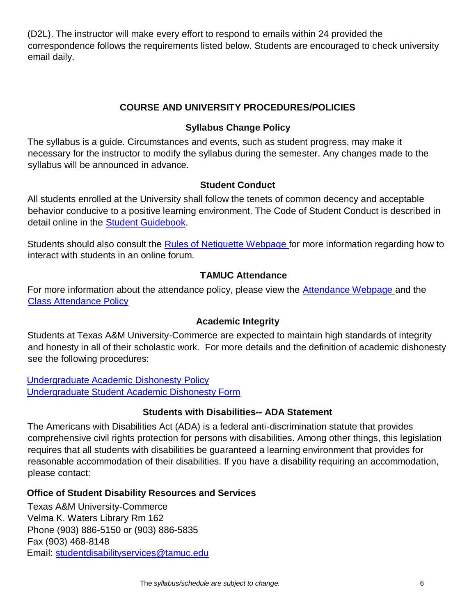(D2L). The instructor will make every effort to respond to emails within 24 provided the correspondence follows the requirements listed below. Students are encouraged to check university email daily.

## **COURSE AND UNIVERSITY PROCEDURES/POLICIES**

## **Syllabus Change Policy**

The syllabus is a guide. Circumstances and events, such as student progress, may make it necessary for the instructor to modify the syllabus during the semester. Any changes made to the syllabus will be announced in advance.

### **Student Conduct**

All students enrolled at the University shall follow the tenets of common decency and acceptable behavior conducive to a positive learning environment. The Code of Student Conduct is described in detail online in the [Student Guidebook.](http://www.tamuc.edu/Admissions/oneStopShop/undergraduateAdmissions/studentGuidebook.aspx)

Students should also consult the [Rules of Netiquette](https://www.britannica.com/topic/netiquette) [Webpage](https://www.britannica.com/topic/netiquette) for more information regarding how to interact with students in an online forum.

# **TAMUC Attendance**

For more information about the attendance policy, please view the **Attendance Webpage** and the [Class](http://www.tamuc.edu/aboutUs/policiesProceduresStandardsStatements/rulesProcedures/13students/academic/13.99.99.R0.01.pdf) [Attendance Policy](http://www.tamuc.edu/aboutUs/policiesProceduresStandardsStatements/rulesProcedures/13students/academic/13.99.99.R0.01.pdf)

### **Academic Integrity**

Students at Texas A&M University-Commerce are expected to maintain high standards of integrity and honesty in all of their scholastic work. For more details and the definition of academic dishonesty see the following procedures:

[Undergraduate Academic Dishonesty](http://www.tamuc.edu/aboutUs/policiesProceduresStandardsStatements/rulesProcedures/13students/undergraduates/13.99.99.R0.03UndergraduateAcademicDishonesty.pdf) Policy [Undergraduate Student Academic Dishonesty Form](http://www.tamuc.edu/aboutUs/policiesProceduresStandardsStatements/rulesProcedures/documents/13.99.99.R0.03UndergraduateStudentAcademicDishonestyForm.pdf)

### **Students with Disabilities-- ADA Statement**

The Americans with Disabilities Act (ADA) is a federal anti-discrimination statute that provides comprehensive civil rights protection for persons with disabilities. Among other things, this legislation requires that all students with disabilities be guaranteed a learning environment that provides for reasonable accommodation of their disabilities. If you have a disability requiring an accommodation, please contact:

### **Office of Student Disability Resources and Services**

Texas A&M University-Commerce Velma K. Waters Library Rm 162 Phone (903) 886-5150 or (903) 886-5835 Fax (903) 468-8148 Email: studentdisabilityservices@tamuc.edu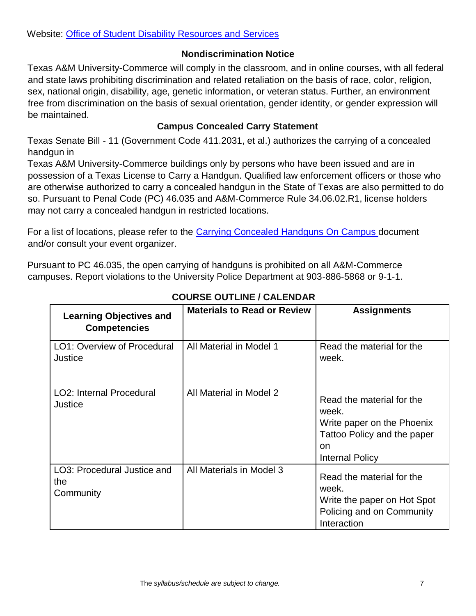## **Nondiscrimination Notice**

Texas A&M University-Commerce will comply in the classroom, and in online courses, with all federal and state laws prohibiting discrimination and related retaliation on the basis of race, color, religion, sex, national origin, disability, age, genetic information, or veteran status. Further, an environment free from discrimination on the basis of sexual orientation, gender identity, or gender expression will be maintained.

# **Campus Concealed Carry Statement**

Texas Senate Bill - 11 (Government Code 411.2031, et al.) authorizes the carrying of a concealed handgun in

Texas A&M University-Commerce buildings only by persons who have been issued and are in possession of a Texas License to Carry a Handgun. Qualified law enforcement officers or those who are otherwise authorized to carry a concealed handgun in the State of Texas are also permitted to do so. Pursuant to Penal Code (PC) 46.035 and A&M-Commerce Rule 34.06.02.R1, license holders may not carry a concealed handgun in restricted locations.

For a list of locations, please refer to the [Carrying](http://www.tamuc.edu/aboutUs/policiesProceduresStandardsStatements/rulesProcedures/34SafetyOfEmployeesAndStudents/34.06.02.R1.pdf) [Concealed Handguns](http://www.tamuc.edu/aboutUs/policiesProceduresStandardsStatements/rulesProcedures/34SafetyOfEmployeesAndStudents/34.06.02.R1.pdf) [On Campus](http://www.tamuc.edu/aboutUs/policiesProceduresStandardsStatements/rulesProcedures/34SafetyOfEmployeesAndStudents/34.06.02.R1.pdf) document and/or consult your event organizer.

Pursuant to PC 46.035, the open carrying of handguns is prohibited on all A&M-Commerce campuses. Report violations to the University Police Department at 903-886-5868 or 9-1-1.

| <b>Learning Objectives and</b><br><b>Competencies</b> | <b>Materials to Read or Review</b> | <b>Assignments</b>                                                                                                              |
|-------------------------------------------------------|------------------------------------|---------------------------------------------------------------------------------------------------------------------------------|
| LO1: Overview of Procedural<br>Justice                | All Material in Model 1            | Read the material for the<br>week.                                                                                              |
| <b>LO2: Internal Procedural</b><br>Justice            | All Material in Model 2            | Read the material for the<br>week.<br>Write paper on the Phoenix<br>Tattoo Policy and the paper<br>on<br><b>Internal Policy</b> |
| LO3: Procedural Justice and<br>the<br>Community       | All Materials in Model 3           | Read the material for the<br>week.<br>Write the paper on Hot Spot<br>Policing and on Community<br>Interaction                   |

**COURSE OUTLINE / CALENDAR**